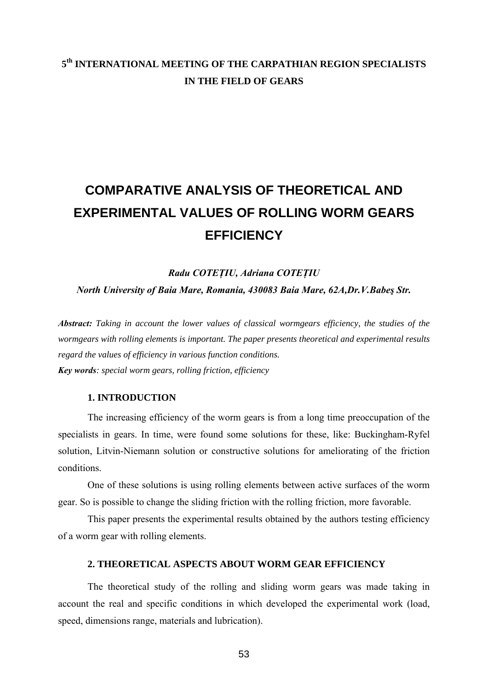# **5th INTERNATIONAL MEETING OF THE CARPATHIAN REGION SPECIALISTS IN THE FIELD OF GEARS**

# **COMPARATIVE ANALYSIS OF THEORETICAL AND EXPERIMENTAL VALUES OF ROLLING WORM GEARS EFFICIENCY**

*Radu COTEŢIU, Adriana COTEŢIU North University of Baia Mare, Romania, 430083 Baia Mare, 62A,Dr.V.Babeş Str.*

*Abstract: Taking in account the lower values of classical wormgears efficiency, the studies of the wormgears with rolling elements is important. The paper presents theoretical and experimental results regard the values of efficiency in various function conditions. Key words: special worm gears, rolling friction, efficiency* 

## **1. INTRODUCTION**

The increasing efficiency of the worm gears is from a long time preoccupation of the specialists in gears. In time, were found some solutions for these, like: Buckingham-Ryfel solution, Litvin-Niemann solution or constructive solutions for ameliorating of the friction conditions.

One of these solutions is using rolling elements between active surfaces of the worm gear. So is possible to change the sliding friction with the rolling friction, more favorable.

This paper presents the experimental results obtained by the authors testing efficiency of a worm gear with rolling elements.

# **2. THEORETICAL ASPECTS ABOUT WORM GEAR EFFICIENCY**

The theoretical study of the rolling and sliding worm gears was made taking in account the real and specific conditions in which developed the experimental work (load, speed, dimensions range, materials and lubrication).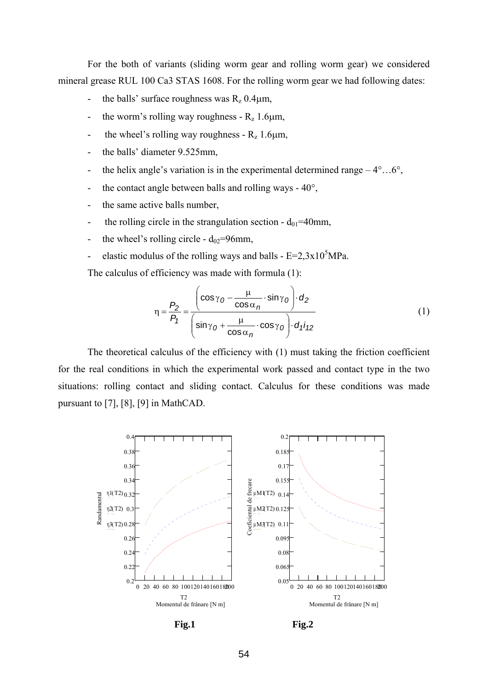For the both of variants (sliding worm gear and rolling worm gear) we considered mineral grease RUL 100 Ca3 STAS 1608. For the rolling worm gear we had following dates:

- the balls' surface roughness was  $R_z$  0.4 $\mu$ m,
- the worm's rolling way roughness  $R_z$  1.6 $\mu$ m,
- the wheel's rolling way roughness  $R_z$  1.6 $\mu$ m,
- the balls' diameter 9.525mm,
- the helix angle's variation is in the experimental determined range  $-4^{\circ}...6^{\circ}$ ,
- the contact angle between balls and rolling ways  $40^{\circ}$ ,
- the same active balls number,
- the rolling circle in the strangulation section  $d_{01}$ =40mm,
- the wheel's rolling circle  $d_{02}$ =96mm,
- elastic modulus of the rolling ways and balls  $E=2,3x10^5 MPa$ .

The calculus of efficiency was made with formula (1):

$$
\eta = \frac{P_2}{P_1} = \frac{\left(\cos\gamma_0 - \frac{\mu}{\cos\alpha_n} \cdot \sin\gamma_0\right) \cdot d_2}{\left(\sin\gamma_0 + \frac{\mu}{\cos\alpha_n} \cdot \cos\gamma_0\right) \cdot d_1 i_{12}}\tag{1}
$$

The theoretical calculus of the efficiency with (1) must taking the friction coefficient for the real conditions in which the experimental work passed and contact type in the two situations: rolling contact and sliding contact. Calculus for these conditions was made pursuant to [7], [8], [9] in MathCAD.





Fig.1 **Fig.2**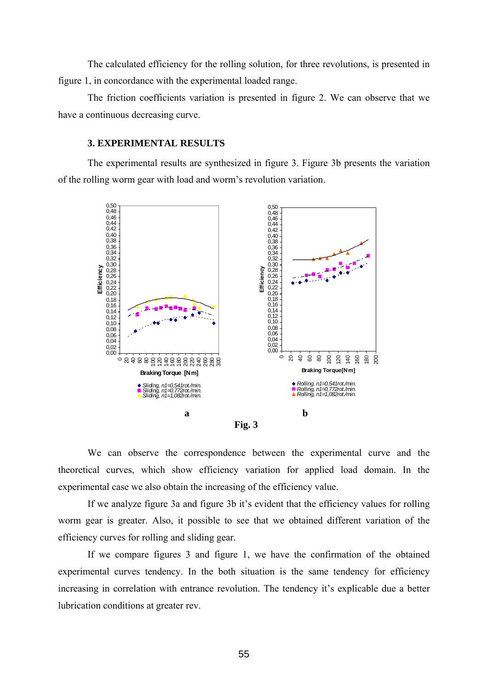The calculated efficiency for the rolling solution, for three revolutions, is presented in figure 1, in concordance with the experimental loaded range.

The friction coefficients variation is presented in figure 2. We can observe that we have a continuous decreasing curve.

## **3. EXPERIMENTAL RESULTS**

The experimental results are synthesized in figure 3. Figure 3b presents the variation of the rolling worm gear with load and worm's revolution variation.



We can observe the correspondence between the experimental curve and the theoretical curves, which show efficiency variation for applied load domain. In the experimental case we also obtain the increasing of the efficiency value.

If we analyze figure 3a and figure 3b it's evident that the efficiency values for rolling worm gear is greater. Also, it possible to see that we obtained different variation of the efficiency curves for rolling and sliding gear.

If we compare figures 3 and figure 1, we have the confirmation of the obtained experimental curves tendency. In the both situation is the same tendency for efficiency increasing in correlation with entrance revolution. The tendency it's explicable due a better lubrication conditions at greater rev.